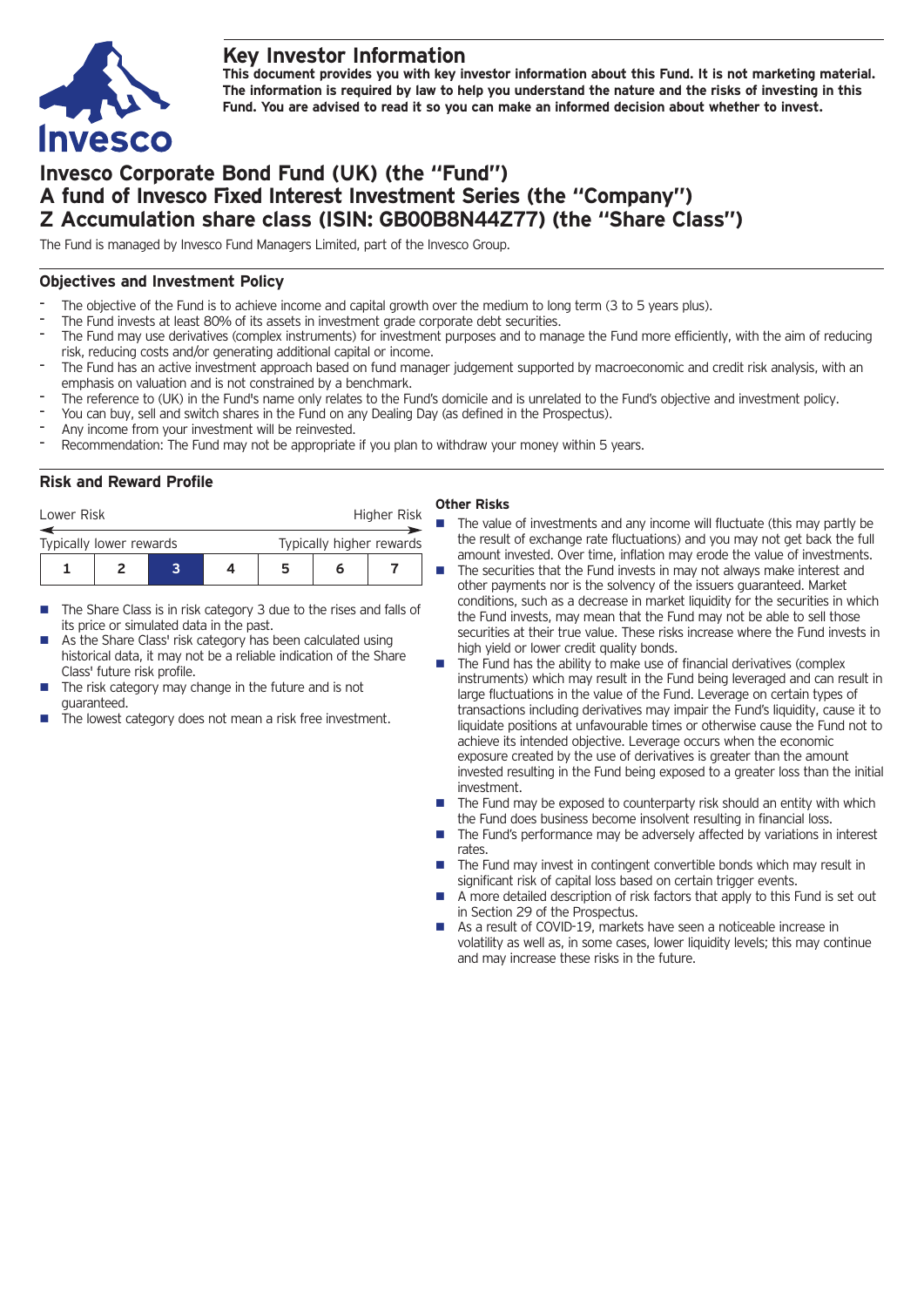## **Key Investor Information**



**This document provides you with key investor information about this Fund. It is not marketing material.** The information is required by law to help you understand the nature and the risks of investing in this **Fund. You are advised to read it so you can make an informed decision about whether to invest.**

# **Invesco Corporate Bond Fund (UK) (the "Fund") A fund of Invesco Fixed Interest Investment Series (the "Company") Z Accumulation share class (ISIN: GB00B8N44Z77) (the "Share Class")**

The Fund is managed by Invesco Fund Managers Limited, part of the Invesco Group.

### **Objectives and Investment Policy**

- The objective of the Fund is to achieve income and capital growth over the medium to long term (3 to 5 years plus).
- The Fund invests at least 80% of its assets in investment grade corporate debt securities.
- The Fund may use derivatives (complex instruments) for investment purposes and to manage the Fund more efficiently, with the aim of reducing risk, reducing costs and/or generating additional capital or income.
- The Fund has an active investment approach based on fund manager judgement supported by macroeconomic and credit risk analysis, with an emphasis on valuation and is not constrained by a benchmark.
- The reference to (UK) in the Fund's name only relates to the Fund's domicile and is unrelated to the Fund's objective and investment policy.
- You can buy, sell and switch shares in the Fund on any Dealing Day (as defined in the Prospectus).
- Any income from your investment will be reinvested.
- Recommendation: The Fund may not be appropriate if you plan to withdraw your money within 5 years.

#### **Risk and Reward Profile**

| Lower Risk              |  |  |  | Higher Risk              |   |  |  |  |
|-------------------------|--|--|--|--------------------------|---|--|--|--|
| Typically lower rewards |  |  |  | Typically higher rewards |   |  |  |  |
|                         |  |  |  | 5                        | n |  |  |  |

- $\blacksquare$  The Share Class is in risk category 3 due to the rises and falls of its price or simulated data in the past.
- As the Share Class' risk category has been calculated using historical data, it may not be a reliable indication of the Share Class' future risk profile.
- The risk category may change in the future and is not guaranteed.
- The lowest category does not mean a risk free investment.

#### **Other Risks**

- $\blacksquare$  The value of investments and any income will fluctuate (this may partly be the result of exchange rate fluctuations) and you may not get back the full amount invested. Over time, inflation may erode the value of investments.
- $\blacksquare$  The securities that the Fund invests in may not always make interest and other payments nor is the solvency of the issuers guaranteed. Market conditions, such as a decrease in market liquidity for the securities in which the Fund invests, may mean that the Fund may not be able to sell those securities at their true value. These risks increase where the Fund invests in high yield or lower credit quality bonds.
- The Fund has the ability to make use of financial derivatives (complex instruments) which may result in the Fund being leveraged and can result in large fluctuations in the value of the Fund. Leverage on certain types of transactions including derivatives may impair the Fund's liquidity, cause it to liquidate positions at unfavourable times or otherwise cause the Fund not to achieve its intended objective. Leverage occurs when the economic exposure created by the use of derivatives is greater than the amount invested resulting in the Fund being exposed to a greater loss than the initial investment.
- The Fund may be exposed to counterparty risk should an entity with which the Fund does business become insolvent resulting in financial loss.
- $\blacksquare$  The Fund's performance may be adversely affected by variations in interest rates.
- $\blacksquare$  The Fund may invest in contingent convertible bonds which may result in significant risk of capital loss based on certain trigger events.
- $\blacksquare$  A more detailed description of risk factors that apply to this Fund is set out in Section 29 of the Prospectus.
- As a result of COVID-19, markets have seen a noticeable increase in volatility as well as, in some cases, lower liquidity levels; this may continue and may increase these risks in the future.